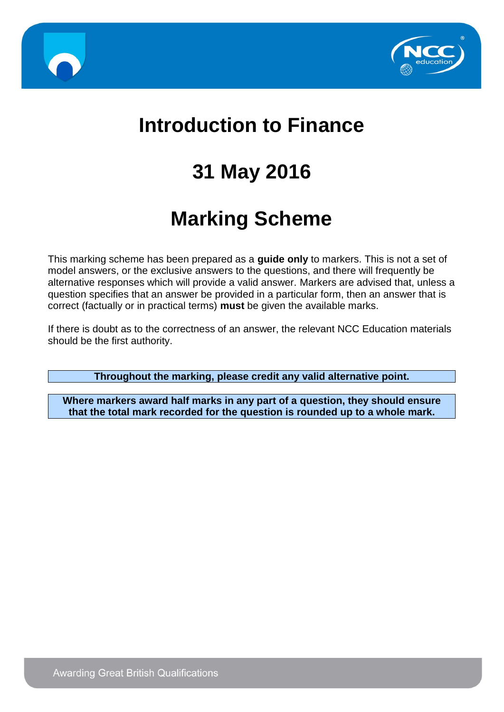



# **Introduction to Finance**

# **31 May 2016**

# **Marking Scheme**

This marking scheme has been prepared as a **guide only** to markers. This is not a set of model answers, or the exclusive answers to the questions, and there will frequently be alternative responses which will provide a valid answer. Markers are advised that, unless a question specifies that an answer be provided in a particular form, then an answer that is correct (factually or in practical terms) **must** be given the available marks.

If there is doubt as to the correctness of an answer, the relevant NCC Education materials should be the first authority.

**Throughout the marking, please credit any valid alternative point.**

**Where markers award half marks in any part of a question, they should ensure that the total mark recorded for the question is rounded up to a whole mark.**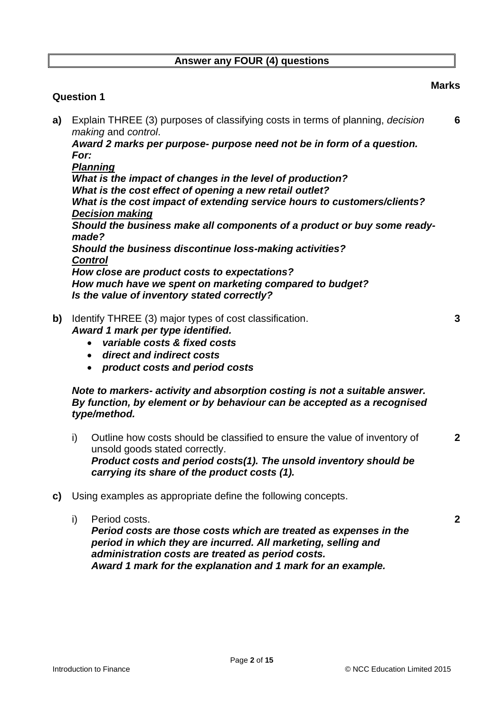#### **Answer any FOUR (4) questions**

#### **Question 1**

**a)** Explain THREE (3) purposes of classifying costs in terms of planning, *decision making* and *control*.

*Award 2 marks per purpose- purpose need not be in form of a question. For:*

*Planning What is the impact of changes in the level of production? What is the cost effect of opening a new retail outlet? What is the cost impact of extending service hours to customers/clients? Decision making Should the business make all components of a product or buy some readymade? Should the business discontinue loss-making activities? Control How close are product costs to expectations? How much have we spent on marketing compared to budget? Is the value of inventory stated correctly?*

- **b)** Identify THREE (3) major types of cost classification. **3** *Award 1 mark per type identified.*
	- *variable costs & fixed costs*
	- *direct and indirect costs*
	- *product costs and period costs*

#### *Note to markers- activity and absorption costing is not a suitable answer. By function, by element or by behaviour can be accepted as a recognised type/method.*

- i) Outline how costs should be classified to ensure the value of inventory of unsold goods stated correctly. *Product costs and period costs(1). The unsold inventory should be carrying its share of the product costs (1).*
- **c)** Using examples as appropriate define the following concepts.
	- i) Period costs. **2** *Period costs are those costs which are treated as expenses in the period in which they are incurred. All marketing, selling and administration costs are treated as period costs. Award 1 mark for the explanation and 1 mark for an example.*

**Marks**

**6**

**2**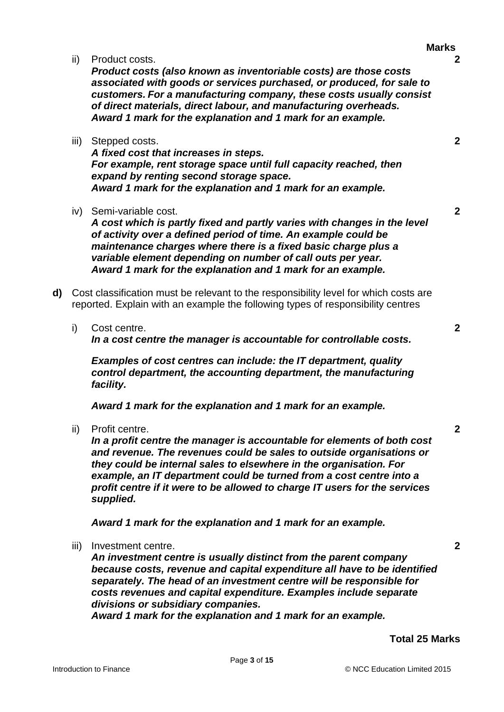ii) Product costs. **2**

*Product costs (also known as inventoriable costs) are those costs associated with goods or services purchased, or produced, for sale to customers. For a manufacturing company, these costs usually consist of direct materials, direct labour, and manufacturing overheads. Award 1 mark for the explanation and 1 mark for an example.*

iii) Stepped costs. **2**

*A fixed cost that increases in steps. For example, rent storage space until full capacity reached, then expand by renting second storage space. Award 1 mark for the explanation and 1 mark for an example.*

iv) Semi-variable cost. **2**

*A cost which is partly fixed and partly varies with changes in the level of activity over a defined period of time. An example could be maintenance charges where there is a fixed basic charge plus a variable element depending on number of call outs per year. Award 1 mark for the explanation and 1 mark for an example.*

- **d)** Cost classification must be relevant to the responsibility level for which costs are reported. Explain with an example the following types of responsibility centres
	- i) Cost centre. **2** *In a cost centre the manager is accountable for controllable costs.*

*Examples of cost centres can include: the IT department, quality control department, the accounting department, the manufacturing facility.*

*Award 1 mark for the explanation and 1 mark for an example.*

ii) Profit centre. **2**

*In a profit centre the manager is accountable for elements of both cost and revenue. The revenues could be sales to outside organisations or they could be internal sales to elsewhere in the organisation. For example, an IT department could be turned from a cost centre into a profit centre if it were to be allowed to charge IT users for the services supplied.*

*Award 1 mark for the explanation and 1 mark for an example.*

iii) Investment centre. **2**

*An investment centre is usually distinct from the parent company because costs, revenue and capital expenditure all have to be identified separately. The head of an investment centre will be responsible for costs revenues and capital expenditure. Examples include separate divisions or subsidiary companies.*

*Award 1 mark for the explanation and 1 mark for an example.*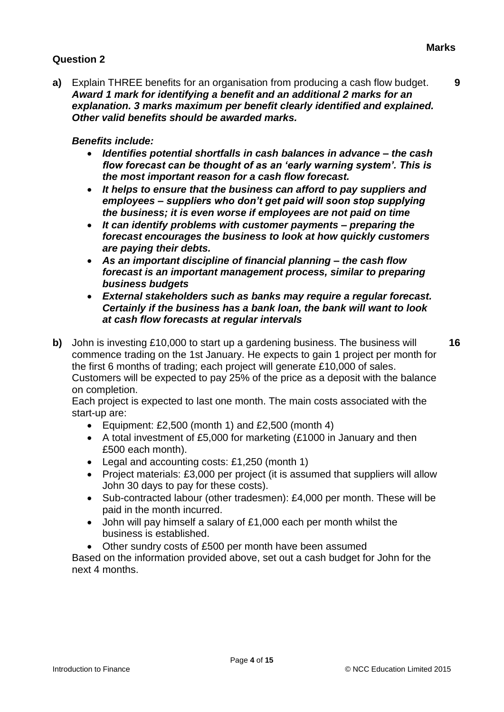**a)** Explain THREE benefits for an organisation from producing a cash flow budget. **9** *Award 1 mark for identifying a benefit and an additional 2 marks for an explanation. 3 marks maximum per benefit clearly identified and explained. Other valid benefits should be awarded marks.*

#### *Benefits include:*

- *Identifies potential shortfalls in cash balances in advance – the cash flow forecast can be thought of as an 'early warning system'. This is the most important reason for a cash flow forecast.*
- *It helps to ensure that the business can afford to pay suppliers and employees – suppliers who don't get paid will soon stop supplying the business; it is even worse if employees are not paid on time*
- *It can identify problems with customer payments – preparing the forecast encourages the business to look at how quickly customers are paying their debts.*
- *As an important discipline of financial planning – the cash flow forecast is an important management process, similar to preparing business budgets*
- *External stakeholders such as banks may require a regular forecast. Certainly if the business has a bank loan, the bank will want to look at cash flow forecasts at regular intervals*
- **b)** John is investing £10,000 to start up a gardening business. The business will commence trading on the 1st January. He expects to gain 1 project per month for the first 6 months of trading; each project will generate £10,000 of sales. Customers will be expected to pay 25% of the price as a deposit with the balance on completion.

Each project is expected to last one month. The main costs associated with the start-up are:

- Equipment: £2,500 (month 1) and £2,500 (month 4)
- A total investment of £5,000 for marketing (£1000 in January and then £500 each month).
- Legal and accounting costs: £1,250 (month 1)
- Project materials: £3,000 per project (it is assumed that suppliers will allow John 30 days to pay for these costs).
- Sub-contracted labour (other tradesmen): £4,000 per month. These will be paid in the month incurred.
- John will pay himself a salary of £1,000 each per month whilst the business is established.
- Other sundry costs of £500 per month have been assumed

Based on the information provided above, set out a cash budget for John for the next 4 months.

**16**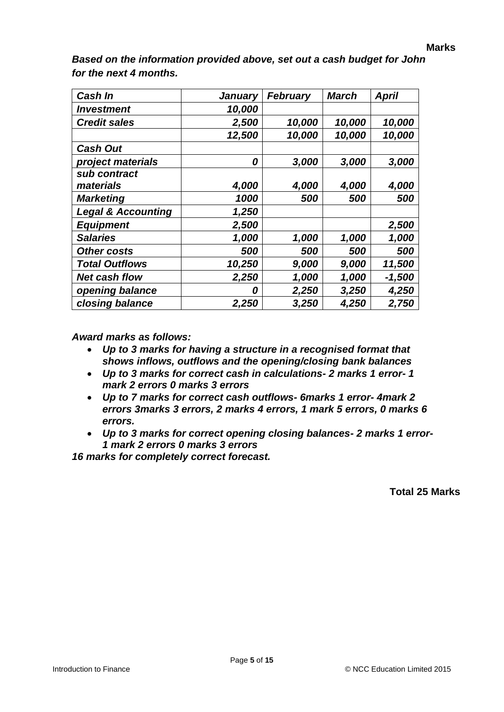| <b>Cash In</b>                | January | <b>February</b> | <b>March</b> | <b>April</b> |
|-------------------------------|---------|-----------------|--------------|--------------|
| <b>Investment</b>             | 10,000  |                 |              |              |
| <b>Credit sales</b>           | 2,500   | 10,000          | 10,000       | 10,000       |
|                               | 12,500  | 10,000          | 10,000       | 10,000       |
| <b>Cash Out</b>               |         |                 |              |              |
| project materials             | 0       | 3,000           | 3,000        | 3,000        |
| sub contract                  |         |                 |              |              |
| materials                     | 4,000   | 4,000           | 4,000        | 4,000        |
| <b>Marketing</b>              | 1000    | 500             | 500          | 500          |
| <b>Legal &amp; Accounting</b> | 1,250   |                 |              |              |
| <b>Equipment</b>              | 2,500   |                 |              | 2,500        |
| <b>Salaries</b>               | 1,000   | 1,000           | 1,000        | 1,000        |
| Other costs                   | 500     | 500             | 500          | 500          |
| <b>Total Outflows</b>         | 10,250  | 9,000           | 9,000        | 11,500       |
| <b>Net cash flow</b>          | 2,250   | 1,000           | 1,000        | $-1,500$     |
| opening balance               | 0       | 2,250           | 3,250        | 4,250        |
| closing balance               | 2,250   | 3,250           | 4,250        | 2,750        |

*Based on the information provided above, set out a cash budget for John for the next 4 months.*

*Award marks as follows:*

- *Up to 3 marks for having a structure in a recognised format that shows inflows, outflows and the opening/closing bank balances*
- *Up to 3 marks for correct cash in calculations- 2 marks 1 error- 1 mark 2 errors 0 marks 3 errors*
- *Up to 7 marks for correct cash outflows- 6marks 1 error- 4mark 2 errors 3marks 3 errors, 2 marks 4 errors, 1 mark 5 errors, 0 marks 6 errors.*
- *Up to 3 marks for correct opening closing balances- 2 marks 1 error-1 mark 2 errors 0 marks 3 errors*

*16 marks for completely correct forecast.*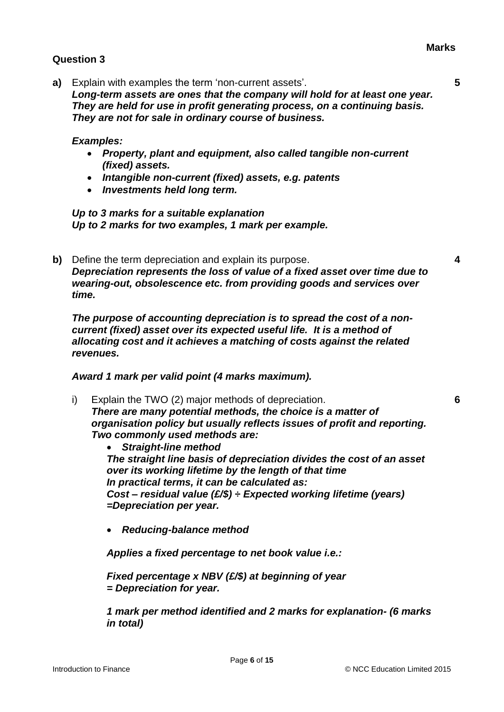**a)** Explain with examples the term 'non-current assets'. **5** *Long-term assets are ones that the company will hold for at least one year. They are held for use in profit generating process, on a continuing basis. They are not for sale in ordinary course of business.*

#### *Examples:*

- *Property, plant and equipment, also called tangible non-current (fixed) assets.*
- *Intangible non-current (fixed) assets, e.g. patents*
- *Investments held long term.*

*Up to 3 marks for a suitable explanation Up to 2 marks for two examples, 1 mark per example.*

**b)** Define the term depreciation and explain its purpose. **4** *Depreciation represents the loss of value of a fixed asset over time due to wearing-out, obsolescence etc. from providing goods and services over time.*

*The purpose of accounting depreciation is to spread the cost of a noncurrent (fixed) asset over its expected useful life. It is a method of allocating cost and it achieves a matching of costs against the related revenues.*

*Award 1 mark per valid point (4 marks maximum).*

i) Explain the TWO (2) major methods of depreciation. **6** *There are many potential methods, the choice is a matter of organisation policy but usually reflects issues of profit and reporting. Two commonly used methods are:*

 *Straight-line method The straight line basis of depreciation divides the cost of an asset over its working lifetime by the length of that time In practical terms, it can be calculated as: Cost – residual value (£/\$) ÷ Expected working lifetime (years) =Depreciation per year.*

*Reducing-balance method*

*Applies a fixed percentage to net book value i.e.:*

*Fixed percentage x NBV (£/\$) at beginning of year = Depreciation for year.*

*1 mark per method identified and 2 marks for explanation- (6 marks in total)*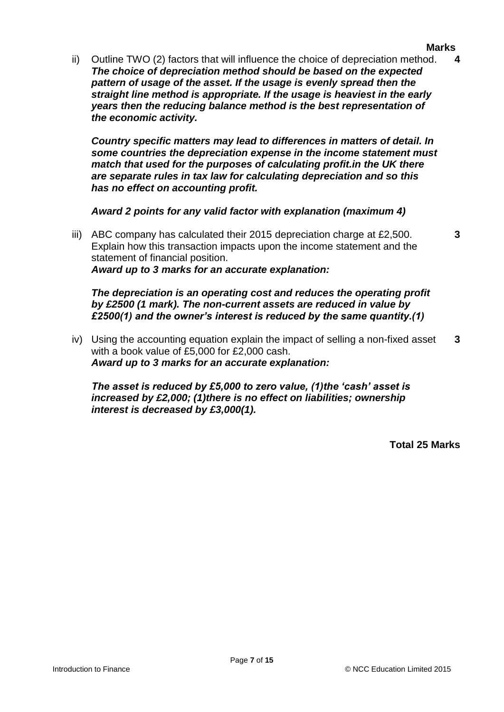#### **Marks**

**3**

ii) Outline TWO (2) factors that will influence the choice of depreciation method. **4** *The choice of depreciation method should be based on the expected pattern of usage of the asset. If the usage is evenly spread then the straight line method is appropriate. If the usage is heaviest in the early years then the reducing balance method is the best representation of the economic activity.*

*Country specific matters may lead to differences in matters of detail. In some countries the depreciation expense in the income statement must match that used for the purposes of calculating profit.in the UK there are separate rules in tax law for calculating depreciation and so this has no effect on accounting profit.*

*Award 2 points for any valid factor with explanation (maximum 4)*

iii) ABC company has calculated their 2015 depreciation charge at  $£2,500$ . Explain how this transaction impacts upon the income statement and the statement of financial position. *Award up to 3 marks for an accurate explanation:*

*The depreciation is an operating cost and reduces the operating profit by £2500 (1 mark). The non-current assets are reduced in value by £2500(1) and the owner's interest is reduced by the same quantity.(1)*

iv) Using the accounting equation explain the impact of selling a non-fixed asset with a book value of £5,000 for £2,000 cash. **3** *Award up to 3 marks for an accurate explanation:*

*The asset is reduced by £5,000 to zero value, (1)the 'cash' asset is increased by £2,000; (1)there is no effect on liabilities; ownership interest is decreased by £3,000(1).*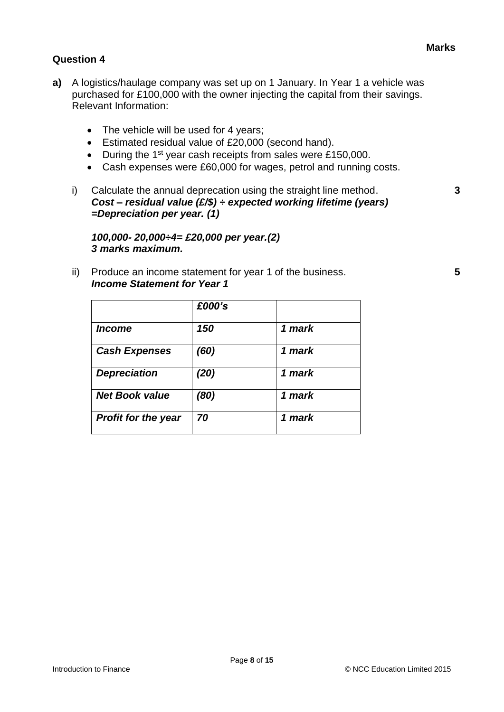- **a)** A logistics/haulage company was set up on 1 January. In Year 1 a vehicle was purchased for £100,000 with the owner injecting the capital from their savings. Relevant Information:
	- The vehicle will be used for 4 years;
	- Estimated residual value of £20,000 (second hand).
	- During the  $1<sup>st</sup>$  year cash receipts from sales were £150,000.
	- Cash expenses were £60,000 for wages, petrol and running costs.
	- i) Calculate the annual deprecation using the straight line method. **3** *Cost – residual value (£/\$) ÷ expected working lifetime (years) =Depreciation per year. (1)*

*100,000- 20,000÷4= £20,000 per year.(2) 3 marks maximum.*

ii) Produce an income statement for year 1 of the business. **5** *Income Statement for Year 1*

|                             | £000's |        |
|-----------------------------|--------|--------|
| <i><u><b>Income</b></u></i> | 150    | 1 mark |
| <b>Cash Expenses</b>        | (60)   | 1 mark |
| <b>Depreciation</b>         | (20)   | 1 mark |
| <b>Net Book value</b>       | (80)   | 1 mark |
| <b>Profit for the year</b>  | 70     | 1 mark |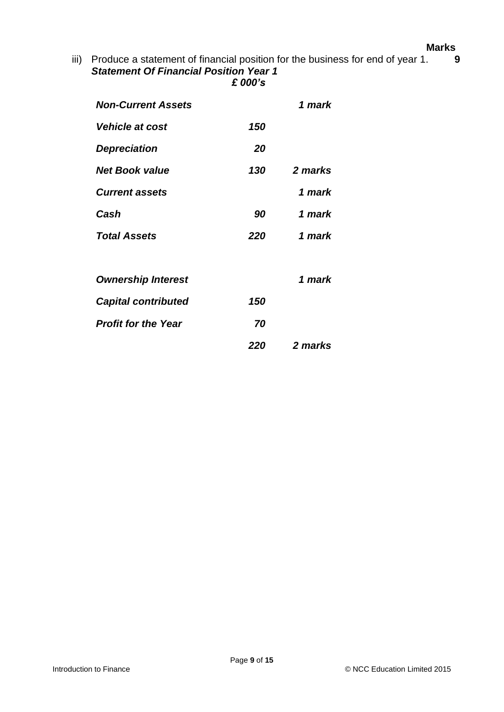#### **Marks**

iii) Produce a statement of financial position for the business for end of year 1. **9** *Statement Of Financial Position Year 1 £ 000's*

| <b>Non-Current Assets</b>     |     | 1 mark  |
|-------------------------------|-----|---------|
| <i><b>Vehicle at cost</b></i> | 150 |         |
| <b>Depreciation</b>           | 20  |         |
| <b>Net Book value</b>         | 130 | 2 marks |
| <b>Current assets</b>         |     | 1 mark  |
| Cash                          | 90  | 1 mark  |
| <b>Total Assets</b>           | 220 | 1 mark  |
| <b>Ownership Interest</b>     |     | 1 mark  |
| <b>Capital contributed</b>    | 150 |         |
| <b>Profit for the Year</b>    | 70  |         |
|                               | 220 | 2 marks |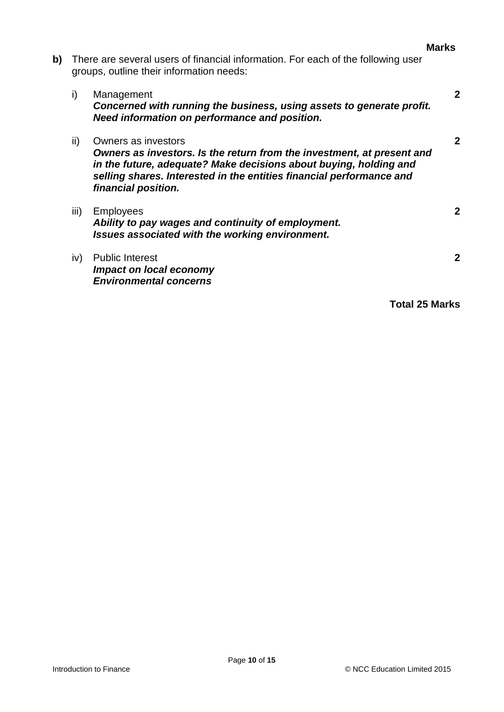| <b>Marks</b> |
|--------------|
|--------------|

**b)** There are several users of financial information. For each of the following user groups, outline their information needs:

| Management                                                            | 2 |
|-----------------------------------------------------------------------|---|
| Concerned with running the business, using assets to generate profit. |   |
| Need information on performance and position.                         |   |
|                                                                       |   |

- ii) Owners as investors **2** *Owners as investors. Is the return from the investment, at present and in the future, adequate? Make decisions about buying, holding and selling shares. Interested in the entities financial performance and financial position.*
- iii) Employees **2** *Ability to pay wages and continuity of employment. Issues associated with the working environment.*
- iv) Public Interest **2** *Impact on local economy Environmental concerns*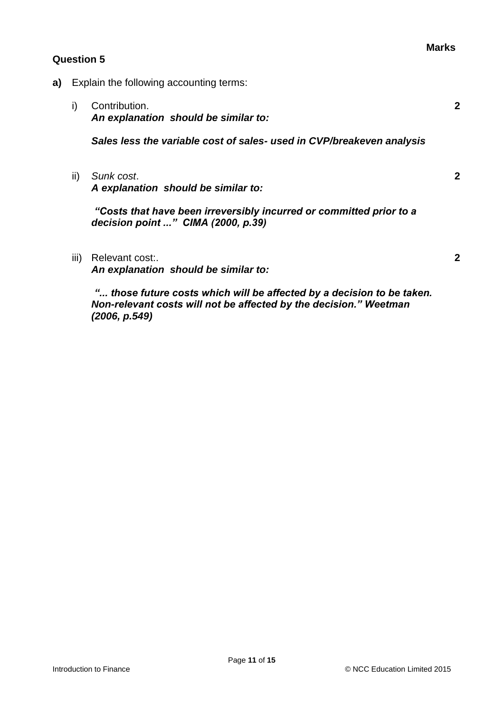- **a)** Explain the following accounting terms:
	- i) Contribution. **2** *An explanation should be similar to: Sales less the variable cost of sales- used in CVP/breakeven analysis*
	- ii) *Sunk cost*. **2** *A explanation should be similar to:*

*"Costs that have been irreversibly incurred or committed prior to a decision point ..." CIMA (2000, p.39)*

iii) Relevant cost:. **2**

*An explanation should be similar to:*

*"... those future costs which will be affected by a decision to be taken. Non-relevant costs will not be affected by the decision." Weetman (2006, p.549)*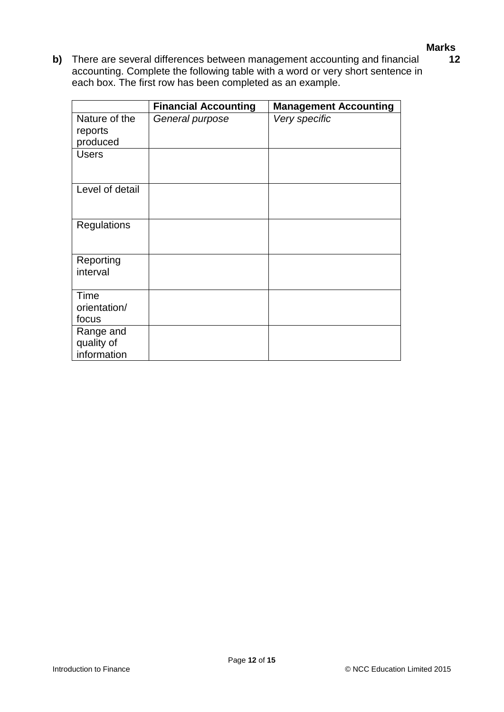#### **Marks**

**12**

**b)** There are several differences between management accounting and financial accounting. Complete the following table with a word or very short sentence in each box. The first row has been completed as an example.

|                 | <b>Financial Accounting</b> | <b>Management Accounting</b> |
|-----------------|-----------------------------|------------------------------|
| Nature of the   | General purpose             | Very specific                |
| reports         |                             |                              |
| produced        |                             |                              |
| <b>Users</b>    |                             |                              |
|                 |                             |                              |
|                 |                             |                              |
| Level of detail |                             |                              |
|                 |                             |                              |
|                 |                             |                              |
| Regulations     |                             |                              |
|                 |                             |                              |
| Reporting       |                             |                              |
| interval        |                             |                              |
|                 |                             |                              |
| Time            |                             |                              |
| orientation/    |                             |                              |
| focus           |                             |                              |
| Range and       |                             |                              |
| quality of      |                             |                              |
| information     |                             |                              |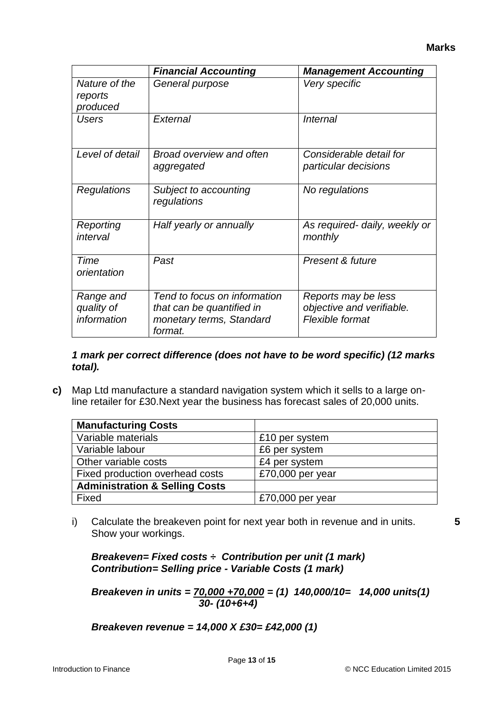|                                        | <b>Financial Accounting</b>                                                                      | <b>Management Accounting</b>                                        |
|----------------------------------------|--------------------------------------------------------------------------------------------------|---------------------------------------------------------------------|
| Nature of the<br>reports<br>produced   | General purpose                                                                                  | Very specific                                                       |
| <b>Users</b>                           | External                                                                                         | <i><b>Internal</b></i>                                              |
| Level of detail                        | <b>Broad overview and often</b><br>aggregated                                                    | Considerable detail for<br>particular decisions                     |
| Regulations                            | Subject to accounting<br>regulations                                                             | No regulations                                                      |
| Reporting<br>interval                  | Half yearly or annually                                                                          | As required- daily, weekly or<br>monthly                            |
| Time<br>orientation                    | Past                                                                                             | Present & future                                                    |
| Range and<br>quality of<br>information | Tend to focus on information<br>that can be quantified in<br>monetary terms, Standard<br>format. | Reports may be less<br>objective and verifiable.<br>Flexible format |

#### *1 mark per correct difference (does not have to be word specific) (12 marks total).*

**c)** Map Ltd manufacture a standard navigation system which it sells to a large online retailer for £30.Next year the business has forecast sales of 20,000 units.

| <b>Manufacturing Costs</b>                |                  |
|-------------------------------------------|------------------|
| Variable materials                        | £10 per system   |
| Variable labour                           | £6 per system    |
| Other variable costs                      | £4 per system    |
| Fixed production overhead costs           | £70,000 per year |
| <b>Administration &amp; Selling Costs</b> |                  |
| Fixed                                     | £70,000 per year |

i) Calculate the breakeven point for next year both in revenue and in units. Show your workings.

**5**

*Breakeven= Fixed costs ÷ Contribution per unit (1 mark) Contribution= Selling price - Variable Costs (1 mark)*

*Breakeven in units = 70,000 +70,000 = (1) 140,000/10= 14,000 units(1) 30- (10+6+4)*

*Breakeven revenue = 14,000 X £30= £42,000 (1)*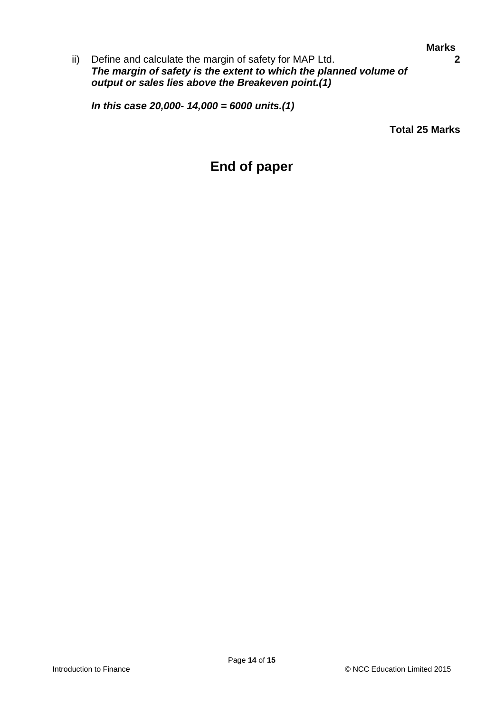ii) Define and calculate the margin of safety for MAP Ltd. **2** *The margin of safety is the extent to which the planned volume of output or sales lies above the Breakeven point.(1)*

*In this case 20,000- 14,000 = 6000 units.(1)*

**Total 25 Marks**

# **End of paper**